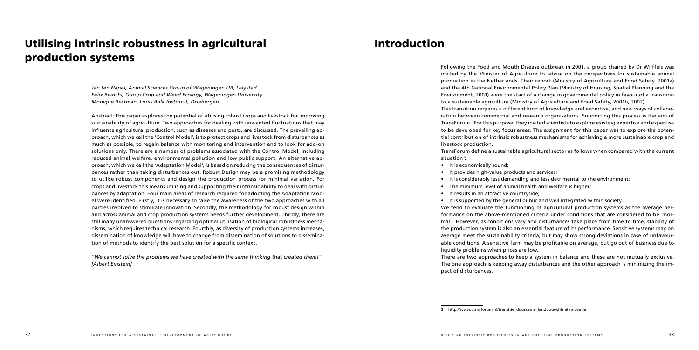# Utilising intrinsic robustness in agricultural production systems

*Jan ten Napel, Animal Sciences Group of Wageningen UR, Lelystad Felix Bianchi, Group Crop and Weed Ecology, Wageningen University Monique Bestman, Louis Bolk Instituut, Driebergen*

Abstract: This paper explores the potential of utilising robust crops and livestock for improving sustainability of agriculture. Two approaches for dealing with unwanted fluctuations that may influence agricultural production, such as diseases and pests, are discussed. The prevailing approach, which we call the 'Control Model', is to protect crops and livestock from disturbances as much as possible, to regain balance with monitoring and intervention and to look for add-on solutions only. There are a number of problems associated with the Control Model, including reduced animal welfare, environmental pollution and low public support. An alternative approach, which we call the 'Adaptation Model', is based on reducing the consequences of disturbances rather than taking disturbances out. Robust Design may be a promising methodology to utilise robust components and design the production process for minimal variation. For crops and livestock this means utilising and supporting their intrinsic ability to deal with disturbances by adaptation. Four main areas of research required for adopting the Adaptation Model were identified. Firstly, it is necessary to raise the awareness of the two approaches with all parties involved to stimulate innovation. Secondly, the methodology for robust design within and across animal and crop production systems needs further development. Thirdly, there are still many unanswered questions regarding optimal utilisation of biological robustness mechanisms, which requires technical research. Fourthly, as diversity of production systems increases, dissemination of knowledge will have to change from dissemination of solutions to dissemination of methods to identify the best solution for a specific context.

*"We cannot solve the problems we have created with the same thinking that created them!" [Albert Einstein]*

# Introduction

Following the Food and Mouth Disease outbreak in 2001, a group chaired by Dr Wijffels was invited by the Minister of Agriculture to advise on the perspectives for sustainable animal production in the Netherlands. Their report (Ministry of Agriculture and Food Safety, 2001a) and the 4th National Environmental Policy Plan (Ministry of Housing, Spatial Planning and the Environment, 2001) were the start of a change in governmental policy in favour of a transition to a sustainable agriculture (Ministry of Agriculture and Food Safety, 2001b, 2002). This transition requires a different kind of knowledge and expertise, and new ways of collaboration between commercial and research organisations. Supporting this process is the aim of TransForum. For this purpose, they invited scientists to explore existing expertise and expertise to be developed for key focus areas. The assignment for this paper was to explore the potential contribution of intrinsic robustness mechanisms for achieving a more sustainable crop and livestock production.

TransForum define a sustainable agricultural sector as follows when compared with the current

situation3:

- It is economically sound;
- It provides high-value products and services;
- It is considerably less demanding and less detrimental to the environment;
- The minimum level of animal health and welfare is higher;
- It results in an attractive countryside;
- 
- It is supported by the general public and well integrated within society.
- We tend to evaluate the functioning of agricultural production systems as the average performance on the above-mentioned criteria under conditions that are considered to be "normal". However, as conditions vary and disturbances take place from time to time, stability of the production system is also an essential feature of its performance. Sensitive systems may on average meet the sustainability criteria, but may show strong deviations in case of unfavourable conditions. A sensitive farm may be profitable on average, but go out of business due to
- There are two approaches to keep a system in balance and these are not mutually exclusive. The one approach is keeping away disturbances and the other approach is minimizing the im-

liquidity problems when prices are low. pact of disturbances.

3 http://www.transforum.nl/transitie\_duurzame\_landbouw.htm#innovatie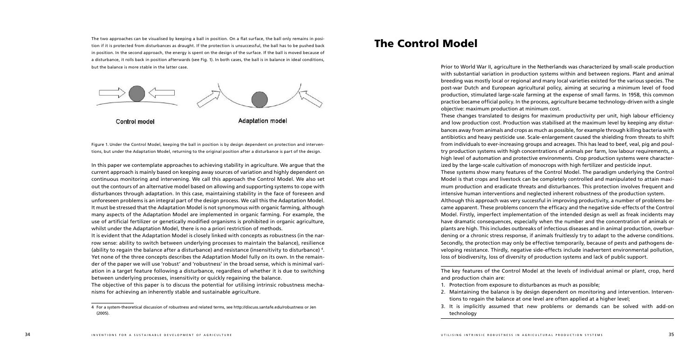The two approaches can be visualised by keeping a ball in position. On a flat surface, the ball only remains in position if it is protected from disturbances as draught. If the protection is unsuccessful, the ball has to be pushed back in position. In the second approach, the energy is spent on the design of the surface. If the ball is moved because of a disturbance, it rolls back in position afterwards (see Fig. 1). In both cases, the ball is in balance in ideal conditions, but the balance is more stable in the latter case.



Control model

**Adaptation model** 

Figure 1. Under the Control Model, keeping the ball in position is by design dependent on protection and interventions, but under the Adaptation Model, returning to the original position after a disturbance is part of the design.

In this paper we contemplate approaches to achieving stability in agriculture. We argue that the current approach is mainly based on keeping away sources of variation and highly dependent on continuous monitoring and intervening. We call this approach the Control Model. We also set out the contours of an alternative model based on allowing and supporting systems to cope with disturbances through adaptation. In this case, maintaining stability in the face of foreseen and unforeseen problems is an integral part of the design process. We call this the Adaptation Model. It must be stressed that the Adaptation Model is not synonymous with organic farming, although many aspects of the Adaptation Model are implemented in organic farming. For example, the use of artificial fertilizer or genetically modified organisms is prohibited in organic agriculture, whilst under the Adaptation Model, there is no a priori restriction of methods.

It is evident that the Adaptation Model is closely linked with concepts as robustness (in the narrow sense: ability to switch between underlying processes to maintain the balance), resilience (ability to regain the balance after a disturbance) and resistance (insensitivity to disturbance) 4. Yet none of the three concepts describes the Adaptation Model fully on its own. In the remainder of the paper we will use 'robust' and 'robustness' in the broad sense, which is minimal variation in a target feature following a disturbance, regardless of whether it is due to switching between underlying processes, insensitivity or quickly regaining the balance.

The objective of this paper is to discuss the potential for utilising intrinsic robustness mechanisms for achieving an inherently stable and sustainable agriculture.

# The Control Model

Prior to World War II, agriculture in the Netherlands was characterized by small-scale production with substantial variation in production systems within and between regions. Plant and animal breeding was mostly local or regional and many local varieties existed for the various species. The post-war Dutch and European agricultural policy, aiming at securing a minimum level of food production, stimulated large-scale farming at the expense of small farms. In 1958, this common practice became official policy. In the process, agriculture became technology-driven with a single objective: maximum production at minimum cost. These changes translated to designs for maximum productivity per unit, high labour efficiency and low production cost. Production was stabilised at the maximum level by keeping any disturbances away from animals and crops as much as possible, for example through killing bacteria with antibiotics and heavy pesticide use. Scale-enlargement caused the shielding from threats to shift from individuals to ever-increasing groups and acreages. This has lead to beef, veal, pig and poultry production systems with high concentrations of animals per farm, low labour requirements, a high level of automation and protective environments. Crop production systems were characterized by the large-scale cultivation of monocrops with high fertilizer and pesticide input. These systems show many features of the Control Model. The paradigm underlying the Control Model is that crops and livestock can be completely controlled and manipulated to attain maximum production and eradicate threats and disturbances. This protection involves frequent and intensive human interventions and neglected inherent robustness of the production system. Although this approach was very successful in improving productivity, a number of problems became apparent. These problems concern the efficacy and the negative side-effects of the Control Model. Firstly, imperfect implementation of the intended design as well as freak incidents may have dramatic consequences, especially when the number and the concentration of animals or plants are high. This includes outbreaks of infectious diseases and in animal production, overburdening or a chronic stress response, if animals fruitlessly try to adapt to the adverse conditions. Secondly, the protection may only be effective temporarily, because of pests and pathogens developing resistance. Thirdly, negative side-effects include inadvertent environmental pollution, loss of biodiversity, loss of diversity of production systems and lack of public support.

The key features of the Control Model at the levels of individual animal or plant, crop, herd and production chain are:

- 1. Protection from exposure to disturbances as much as possible;
- 2. Maintaining the balance is by design dependent on monitoring and intervention. Interventions to regain the balance at one level are often applied at a higher level;
- technology

3. It is implicitly assumed that new problems or demands can be solved with add-on

<sup>4</sup> For a system-theoretical discussion of robustness and related terms, see http://discuss.santafe.edu/robustness or Jen (2005).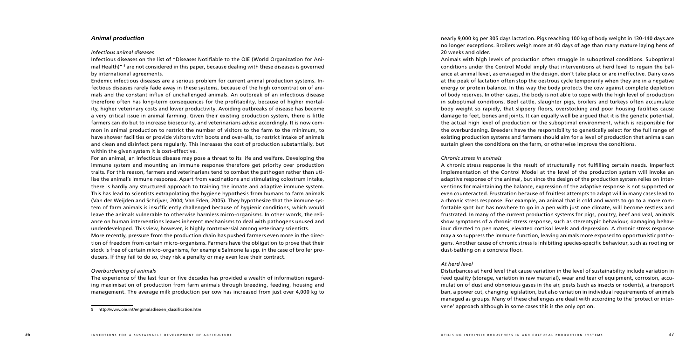# *Animal production*

#### *Infectious animal diseases*

Infectious diseases on the list of "Diseases Notifiable to the OIE (World Organization for Animal Health)" <sup>s</sup> are not considered in this paper, because dealing with these diseases is governed by international agreements.

Endemic infectious diseases are a serious problem for current animal production systems. Infectious diseases rarely fade away in these systems, because of the high concentration of animals and the constant influx of unchallenged animals. An outbreak of an infectious disease therefore often has long-term consequences for the profitability, because of higher mortality, higher veterinary costs and lower productivity. Avoiding outbreaks of disease has become a very critical issue in animal farming. Given their existing production system, there is little farmers can do but to increase biosecurity, and veterinarians advise accordingly. It is now common in animal production to restrict the number of visitors to the farm to the minimum, to have shower facilities or provide visitors with boots and over-alls, to restrict intake of animals and clean and disinfect pens regularly. This increases the cost of production substantially, but within the given system it is cost-effective.

For an animal, an infectious disease may pose a threat to its life and welfare. Developing the immune system and mounting an immune response therefore get priority over production traits. For this reason, farmers and veterinarians tend to combat the pathogen rather than utilise the animal's immune response. Apart from vaccinations and stimulating colostrum intake, there is hardly any structured approach to training the innate and adaptive immune system. This has lead to scientists extrapolating the hygiene hypothesis from humans to farm animals (Van der Weijden and Schrijver, 2004; Van Eden, 2005). They hypothesize that the immune system of farm animals is insufficiently challenged because of hygienic conditions, which would leave the animals vulnerable to otherwise harmless micro-organisms. In other words, the reliance on human interventions leaves inherent mechanisms to deal with pathogens unused and underdeveloped. This view, however, is highly controversial among veterinary scientists. More recently, pressure from the production chain has pushed farmers even more in the direction of freedom from certain micro-organisms. Farmers have the obligation to prove that their stock is free of certain micro-organisms, for example Salmonella spp. in the case of broiler producers. If they fail to do so, they risk a penalty or may even lose their contract.

# *Overburdening of animals*

The experience of the last four or five decades has provided a wealth of information regarding maximisation of production from farm animals through breeding, feeding, housing and management. The average milk production per cow has increased from just over 4,000 kg to nearly 9,000 kg per 305 days lactation. Pigs reaching 100 kg of body weight in 130-140 days are no longer exceptions. Broilers weigh more at 40 days of age than many mature laying hens of 20 weeks and older.

Animals with high levels of production often struggle in suboptimal conditions. Suboptimal conditions under the Control Model imply that interventions at herd level to regain the balance at animal level, as envisaged in the design, don't take place or are ineffective. Dairy cows at the peak of lactation often stop the oestrous cycle temporarily when they are in a negative energy or protein balance. In this way the body protects the cow against complete depletion of body reserves. In other cases, the body is not able to cope with the high level of production in suboptimal conditions. Beef cattle, slaughter pigs, broilers and turkeys often accumulate body weight so rapidly, that slippery floors, overstocking and poor housing facilities cause damage to feet, bones and joints. It can equally well be argued that it is the genetic potential, the actual high level of production or the suboptimal environment, which is responsible for the overburdening. Breeders have the responsibility to genetically select for the full range of existing production systems and farmers should aim for a level of production that animals can sustain given the conditions on the farm, or otherwise improve the conditions.

### *Chronic stress in animals*

A chronic stress response is the result of structurally not fulfilling certain needs. Imperfect implementation of the Control Model at the level of the production system will invoke an adaptive response of the animal, but since the design of the production system relies on interventions for maintaining the balance, expression of the adaptive response is not supported or even counteracted. Frustration because of fruitless attempts to adapt will in many cases lead to a chronic stress response. For example, an animal that is cold and wants to go to a more comfortable spot but has nowhere to go in a pen with just one climate, will become restless and frustrated. In many of the current production systems for pigs, poultry, beef and veal, animals show symptoms of a chronic stress response, such as stereotypic behaviour, damaging behaviour directed to pen mates, elevated cortisol levels and depression. A chronic stress response may also suppress the immune function, leaving animals more exposed to opportunistic pathogens. Another cause of chronic stress is inhibiting species-specific behaviour, such as rooting or dust-bathing on a concrete floor.

# *At herd level*

Disturbances at herd level that cause variation in the level of sustainability include variation in feed quality (storage, variation in raw material), wear and tear of equipment, corrosion, accumulation of dust and obnoxious gases in the air, pests (such as insects or rodents), a transport ban, a power cut, changing legislation, but also variation in individual requirements of animals managed as groups. Many of these challenges are dealt with according to the 'protect or intervene' approach although in some cases this is the only option.

<sup>5</sup> http://www.oie.int/eng/maladies/en\_classification.htm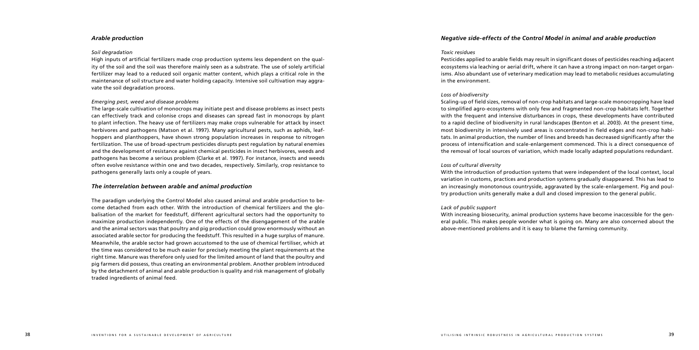# *Arable production*

### *Soil degradation*

High inputs of artificial fertilizers made crop production systems less dependent on the quality of the soil and the soil was therefore mainly seen as a substrate. The use of solely artificial fertilizer may lead to a reduced soil organic matter content, which plays a critical role in the maintenance of soil structure and water holding capacity. Intensive soil cultivation may aggravate the soil degradation process.

# *Emerging pest, weed and disease problems*

The large-scale cultivation of monocrops may initiate pest and disease problems as insect pests can effectively track and colonise crops and diseases can spread fast in monocrops by plant to plant infection. The heavy use of fertilizers may make crops vulnerable for attack by insect herbivores and pathogens (Matson et al. 1997). Many agricultural pests, such as aphids, leafhoppers and planthoppers, have shown strong population increases in response to nitrogen fertilization. The use of broad-spectrum pesticides disrupts pest regulation by natural enemies and the development of resistance against chemical pesticides in insect herbivores, weeds and pathogens has become a serious problem (Clarke et al. 1997). For instance, insects and weeds often evolve resistance within one and two decades, respectively. Similarly, crop resistance to pathogens generally lasts only a couple of years.

# *The interrelation between arable and animal production*

The paradigm underlying the Control Model also caused animal and arable production to become detached from each other. With the introduction of chemical fertilizers and the globalisation of the market for feedstuff, different agricultural sectors had the opportunity to maximize production independently. One of the effects of the disengagement of the arable and the animal sectors was that poultry and pig production could grow enormously without an associated arable sector for producing the feedstuff. This resulted in a huge surplus of manure. Meanwhile, the arable sector had grown accustomed to the use of chemical fertiliser, which at the time was considered to be much easier for precisely meeting the plant requirements at the right time. Manure was therefore only used for the limited amount of land that the poultry and pig farmers did possess, thus creating an environmental problem. Another problem introduced by the detachment of animal and arable production is quality and risk management of globally traded ingredients of animal feed.

# *Negative side-effects of the Control Model in animal and arable production*

#### *Toxic residues*

Pesticides applied to arable fields may result in significant doses of pesticides reaching adjacent ecosystems via leaching or aerial drift, where it can have a strong impact on non-target organisms. Also abundant use of veterinary medication may lead to metabolic residues accumulating in the environment.

#### *Loss of biodiversity*

Scaling-up of field sizes, removal of non-crop habitats and large-scale monocropping have lead to simplified agro-ecosystems with only few and fragmented non-crop habitats left. Together with the frequent and intensive disturbances in crops, these developments have contributed to a rapid decline of biodiversity in rural landscapes (Benton et al. 2003). At the present time, most biodiversity in intensively used areas is concentrated in field edges and non-crop habitats. In animal production, the number of lines and breeds has decreased significantly after the process of intensification and scale-enlargement commenced. This is a direct consequence of the removal of local sources of variation, which made locally adapted populations redundant.

# *Loss of cultural diversity*

With the introduction of production systems that were independent of the local context, local variation in customs, practices and production systems gradually disappeared. This has lead to an increasingly monotonous countryside, aggravated by the scale-enlargement. Pig and poultry production units generally make a dull and closed impression to the general public.

### *Lack of public support*

With increasing biosecurity, animal production systems have become inaccessible for the general public. This makes people wonder what is going on. Many are also concerned about the above-mentioned problems and it is easy to blame the farming community.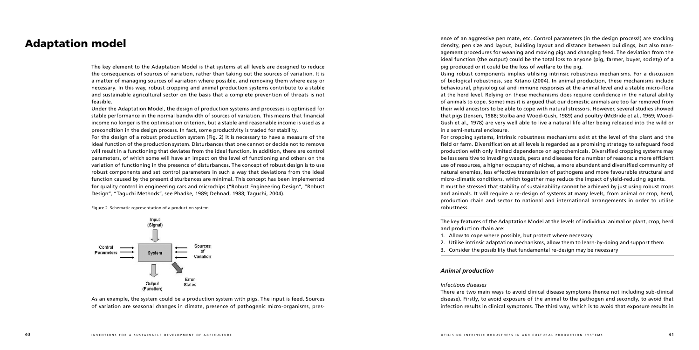# Adaptation model

The key element to the Adaptation Model is that systems at all levels are designed to reduce the consequences of sources of variation, rather than taking out the sources of variation. It is a matter of managing sources of variation where possible, and removing them where easy or necessary. In this way, robust cropping and animal production systems contribute to a stable and sustainable agricultural sector on the basis that a complete prevention of threats is not feasible.

Under the Adaptation Model, the design of production systems and processes is optimised for stable performance in the normal bandwidth of sources of variation. This means that financial income no longer is the optimisation criterion, but a stable and reasonable income is used as a precondition in the design process. In fact, some productivity is traded for stability.

For the design of a robust production system (Fig. 2) it is necessary to have a measure of the ideal function of the production system. Disturbances that one cannot or decide not to remove will result in a functioning that deviates from the ideal function. In addition, there are control parameters, of which some will have an impact on the level of functioning and others on the variation of functioning in the presence of disturbances. The concept of robust design is to use robust components and set control parameters in such a way that deviations from the ideal function caused by the present disturbances are minimal. This concept has been implemented for quality control in engineering cars and microchips ("Robust Engineering Design", "Robust Design", "Taguchi Methods", see Phadke, 1989; Dehnad, 1988; Taguchi, 2004).

Figure 2. Schematic representation of a production system



As an example, the system could be a production system with pigs. The input is feed. Sources of variation are seasonal changes in climate, presence of pathogenic micro-organisms, presence of an aggressive pen mate, etc. Control parameters (in the design process!) are stocking density, pen size and layout, building layout and distance between buildings, but also management procedures for weaning and moving pigs and changing feed. The deviation from the ideal function (the output) could be the total loss to anyone (pig, farmer, buyer, society) of a pig produced or it could be the loss of welfare to the pig. Using robust components implies utilising intrinsic robustness mechanisms. For a discussion of biological robustness, see Kitano (2004). In animal production, these mechanisms include behavioural, physiological and immune responses at the animal level and a stable micro-flora at the herd level. Relying on these mechanisms does require confidence in the natural ability of animals to cope. Sometimes it is argued that our domestic animals are too far removed from their wild ancestors to be able to cope with natural stressors. However, several studies showed that pigs (Jensen, 1988; Stolba and Wood-Gush, 1989) and poultry (McBride et al., 1969; Wood-Gush et al., 1978) are very well able to live a natural life after being released into the wild or in a semi-natural enclosure.

For cropping systems, intrinsic robustness mechanisms exist at the level of the plant and the field or farm. Diversification at all levels is regarded as a promising strategy to safeguard food production with only limited dependence on agrochemicals. Diversified cropping systems may be less sensitive to invading weeds, pests and diseases for a number of reasons: a more efficient use of resources, a higher occupancy of niches, a more abundant and diversified community of natural enemies, less effective transmission of pathogens and more favourable structural and micro-climatic conditions, which together may reduce the impact of yield-reducing agents. It must be stressed that stability of sustainability cannot be achieved by just using robust crops and animals. It will require a re-design of systems at many levels, from animal or crop, herd, production chain and sector to national and international arrangements in order to utilise robustness.

The key features of the Adaptation Model at the levels of individual animal or plant, crop, herd

and production chain are:

- 1. Allow to cope where possible, but protect where necessary
- 
- 

2. Utilise intrinsic adaptation mechanisms, allow them to learn-by-doing and support them 3. Consider the possibility that fundamental re-design may be necessary

# *Animal production*

*Infectious diseases*

There are two main ways to avoid clinical disease symptoms (hence not including sub-clinical disease). Firstly, to avoid exposure of the animal to the pathogen and secondly, to avoid that infection results in clinical symptoms. The third way, which is to avoid that exposure results in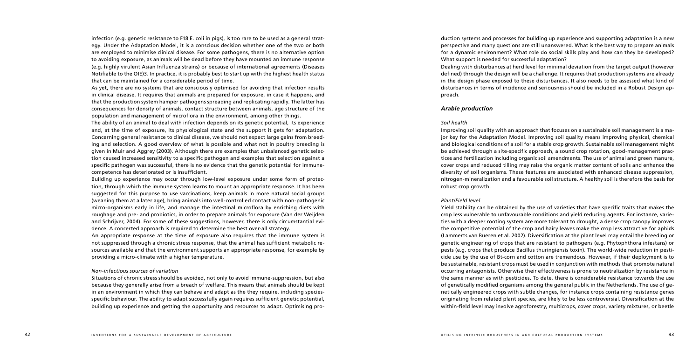infection (e.g. genetic resistance to F18 E. coli in pigs), is too rare to be used as a general strategy. Under the Adaptation Model, it is a conscious decision whether one of the two or both are employed to minimise clinical disease. For some pathogens, there is no alternative option to avoiding exposure, as animals will be dead before they have mounted an immune response (e.g. highly virulent Asian Influenza strains) or because of international agreements (Diseases Notifiable to the OIE)3. In practice, it is probably best to start up with the highest health status that can be maintained for a considerable period of time.

As yet, there are no systems that are consciously optimised for avoiding that infection results in clinical disease. It requires that animals are prepared for exposure, in case it happens, and that the production system hamper pathogens spreading and replicating rapidly. The latter has consequences for density of animals, contact structure between animals, age structure of the population and management of microflora in the environment, among other things.

The ability of an animal to deal with infection depends on its genetic potential, its experience and, at the time of exposure, its physiological state and the support it gets for adaptation. Concerning general resistance to clinical disease, we should not expect large gains from breeding and selection. A good overview of what is possible and what not in poultry breeding is given in Muir and Aggrey (2003). Although there are examples that unbalanced genetic selection caused increased sensitivity to a specific pathogen and examples that selection against a specific pathogen was successful, there is no evidence that the genetic potential for immunecompetence has deteriorated or is insufficient.

Building up experience may occur through low-level exposure under some form of protection, through which the immune system learns to mount an appropriate response. It has been suggested for this purpose to use vaccinations, keep animals in more natural social groups (weaning them at a later age), bring animals into well-controlled contact with non-pathogenic micro-organisms early in life, and manage the intestinal microflora by enriching diets with roughage and pre- and probiotics, in order to prepare animals for exposure (Van der Weijden and Schrijver, 2004). For some of these suggestions, however, there is only circumstantial evidence. A concerted approach is required to determine the best over-all strategy.

An appropriate response at the time of exposure also requires that the immune system is not suppressed through a chronic stress response, that the animal has sufficient metabolic resources available and that the environment supports an appropriate response, for example by providing a micro-climate with a higher temperature.

# *Non-infectious sources of variation*

Situations of chronic stress should be avoided, not only to avoid immune-suppression, but also because they generally arise from a breach of welfare. This means that animals should be kept in an environment in which they can behave and adapt as the they require, including speciesspecific behaviour. The ability to adapt successfully again requires sufficient genetic potential, building up experience and getting the opportunity and resources to adapt. Optimising production systems and processes for building up experience and supporting adaptation is a new perspective and many questions are still unanswered. What is the best way to prepare animals for a dynamic environment? What role do social skills play and how can they be developed? What support is needed for successful adaptation? Dealing with disturbances at herd level for minimal deviation from the target output (however defined) through the design will be a challenge. It requires that production systems are already in the design phase exposed to these disturbances. It also needs to be assessed what kind of disturbances in terms of incidence and seriousness should be included in a Robust Design approach.

# *Arable production*

# *Soil health*

Improving soil quality with an approach that focuses on a sustainable soil management is a major key for the Adaptation Model. Improving soil quality means improving physical, chemical and biological conditions of a soil for a stable crop growth. Sustainable soil management might be achieved through a site-specific approach, a sound crop rotation, good-management practices and fertilization including organic soil amendments. The use of animal and green manure, cover crops and reduced tilling may raise the organic matter content of soils and enhance the diversity of soil organisms. These features are associated with enhanced disease suppression, nitrogen-mineralization and a favourable soil structure. A healthy soil is therefore the basis for robust crop growth.

#### *Plant/Field level*

Yield stability can be obtained by the use of varieties that have specific traits that makes the crop less vulnerable to unfavourable conditions and yield reducing agents. For instance, varieties with a deeper rooting system are more tolerant to drought, a dense crop canopy improves the competitive potential of the crop and hairy leaves make the crop less attractive for aphids (Lammerts van Bueren et al. 2002). Diversification at the plant level may entail the breeding or genetic engineering of crops that are resistant to pathogens (e.g. Phytophthora infestans) or pests (e.g. crops that produce Bacillus thuringiensis toxin). The world-wide reduction in pesticide use by the use of Bt-corn and cotton are tremendous. However, if their deployment is to be sustainable, resistant crops must be used in conjunction with methods that promote natural occurring antagonists. Otherwise their effectiveness is prone to neutralization by resistance in the same manner as with pesticides. To date, there is considerable resistance towards the use of genetically modified organisms among the general public in the Netherlands. The use of genetically engineered crops with subtle changes, for instance crops containing resistance genes originating from related plant species, are likely to be less controversial. Diversification at the within-field level may involve agroforestry, multicrops, cover crops, variety mixtures, or beetle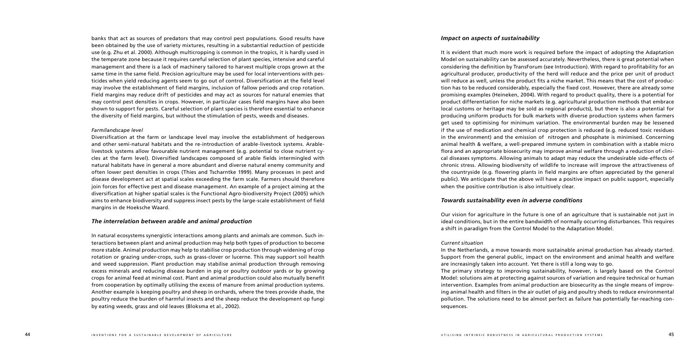banks that act as sources of predators that may control pest populations. Good results have been obtained by the use of variety mixtures, resulting in a substantial reduction of pesticide use (e.g. Zhu et al. 2000). Although multicropping is common in the tropics, it is hardly used in the temperate zone because it requires careful selection of plant species, intensive and careful management and there is a lack of machinery tailored to harvest multiple crops grown at the same time in the same field. Precision agriculture may be used for local interventions with pesticides when yield reducing agents seem to go out of control. Diversification at the field level may involve the establishment of field margins, inclusion of fallow periods and crop rotation. Field margins may reduce drift of pesticides and may act as sources for natural enemies that may control pest densities in crops. However, in particular cases field margins have also been shown to support for pests. Careful selection of plant species is therefore essential to enhance the diversity of field margins, but without the stimulation of pests, weeds and diseases.

### *Farm/landscape level*

Diversification at the farm or landscape level may involve the establishment of hedgerows and other semi-natural habitats and the re-introduction of arable-livestock systems. Arablelivestock systems allow favourable nutrient management (e.g. potential to close nutrient cycles at the farm level). Diversified landscapes composed of arable fields intermingled with natural habitats have in general a more abundant and diverse natural enemy community and often lower pest densities in crops (Thies and Tscharntke 1999). Many processes in pest and disease development act at spatial scales exceeding the farm scale. Farmers should therefore join forces for effective pest and disease management. An example of a project aiming at the diversification at higher spatial scales is the Functional Agro-biodiversity Project (2005) which aims to enhance biodiversity and suppress insect pests by the large-scale establishment of field margins in de Hoeksche Waard.

# *The interrelation between arable and animal production*

In natural ecosystems synergistic interactions among plants and animals are common. Such interactions between plant and animal production may help both types of production to become more stable. Animal production may help to stabilise crop production through widening of crop rotation or grazing under-crops, such as grass-clover or lucerne. This may support soil health and weed suppression. Plant production may stabilise animal production through removing excess minerals and reducing disease burden in pig or poultry outdoor yards or by growing crops for animal feed at minimal cost. Plant and animal production could also mutually benefit from cooperation by optimally utilising the excess of manure from animal production systems. Another example is keeping poultry and sheep in orchards, where the trees provide shade, the poultry reduce the burden of harmful insects and the sheep reduce the development op fungi by eating weeds, grass and old leaves (Bloksma et al., 2002).

# *Impact on aspects of sustainability*

It is evident that much more work is required before the impact of adopting the Adaptation Model on sustainability can be assessed accurately. Nevertheless, there is great potential when considering the definition by TransForum (see Introduction). With regard to profitability for an agricultural producer, productivity of the herd will reduce and the price per unit of product will reduce as well, unless the product fits a niche market. This means that the cost of production has to be reduced considerably, especially the fixed cost. However, there are already some promising examples (Heineken, 2004). With regard to product quality, there is a potential for product differentiation for niche markets (e.g. agricultural production methods that embrace local customs or heritage may be sold as regional products), but there is also a potential for producing uniform products for bulk markets with diverse production systems when farmers get used to optimising for minimum variation. The environmental burden may be lessened if the use of medication and chemical crop protection is reduced (e.g. reduced toxic residues in the environment) and the emission of nitrogen and phosphate is minimised. Concerning animal health & welfare, a well-prepared immune system in combination with a stable micro flora and an appropriate biosecurity may improve animal welfare through a reduction of clinical diseases symptoms. Allowing animals to adapt may reduce the undesirable side-effects of chronic stress. Allowing biodiversity of wildlife to increase will improve the attractiveness of the countryside (e.g. flowering plants in field margins are often appreciated by the general public). We anticipate that the above will have a positive impact on public support, especially when the positive contribution is also intuitively clear.

# *Towards sustainability even in adverse conditions*

Our vision for agriculture in the future is one of an agriculture that is sustainable not just in ideal conditions, but in the entire bandwidth of normally occurring disturbances. This requires a shift in paradigm from the Control Model to the Adaptation Model.

### *Current situation*

In the Netherlands, a move towards more sustainable animal production has already started. Support from the general public, impact on the environment and animal health and welfare are increasingly taken into account. Yet there is still a long way to go. The primary strategy to improving sustainability, however, is largely based on the Control Model: solutions aim at protecting against sources of variation and require technical or human intervention. Examples from animal production are biosecurity as the single means of improving animal health and filters in the air outlet of pig and poultry sheds to reduce environmental pollution. The solutions need to be almost perfect as failure has potentially far-reaching consequences.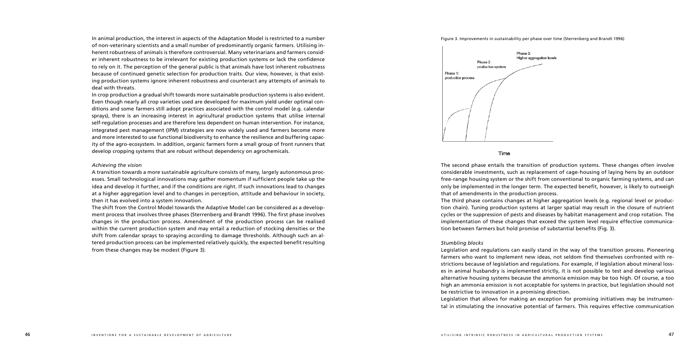In animal production, the interest in aspects of the Adaptation Model is restricted to a number of non-veterinary scientists and a small number of predominantly organic farmers. Utilising inherent robustness of animals is therefore controversial. Many veterinarians and farmers consider inherent robustness to be irrelevant for existing production systems or lack the confidence to rely on it. The perception of the general public is that animals have lost inherent robustness because of continued genetic selection for production traits. Our view, however, is that existing production systems ignore inherent robustness and counteract any attempts of animals to deal with threats.

In crop production a gradual shift towards more sustainable production systems is also evident. Even though nearly all crop varieties used are developed for maximum yield under optimal conditions and some farmers still adopt practices associated with the control model (e.g. calendar sprays), there is an increasing interest in agricultural production systems that utilise internal self-regulation processes and are therefore less dependent on human intervention. For instance, integrated pest management (IPM) strategies are now widely used and farmers become more and more interested to use functional biodiversity to enhance the resilience and buffering capacity of the agro-ecosystem. In addition, organic farmers form a small group of front runners that develop cropping systems that are robust without dependency on agrochemicals.

#### *Achieving the vision*

A transition towards a more sustainable agriculture consists of many, largely autonomous processes. Small technological innovations may gather momentum if sufficient people take up the idea and develop it further, and if the conditions are right. If such innovations lead to changes at a higher aggregation level and to changes in perception, attitude and behaviour in society, then it has evolved into a system innovation.

The shift from the Control Model towards the Adaptive Model can be considered as a development process that involves three phases (Sterrenberg and Brandt 1996). The first phase involves changes in the production process. Amendment of the production process can be realised within the current production system and may entail a reduction of stocking densities or the shift from calendar sprays to spraying according to damage thresholds. Although such an altered production process can be implemented relatively quickly, the expected benefit resulting from these changes may be modest (Figure 3).





### Time

Figure 3. Improvements in sustainability per phase over time (Sterrenberg and Brandt 1996)

Higher aggregation levels

The second phase entails the transition of production systems. These changes often involve considerable investments, such as replacement of cage-housing of laying hens by an outdoor free-range housing system or the shift from conventional to organic farming systems, and can only be implemented in the longer term. The expected benefit, however, is likely to outweigh that of amendments in the production process. The third phase contains changes at higher aggregation levels (e.g. regional level or production chain). Tuning production systems at larger spatial may result in the closure of nutrient cycles or the suppression of pests and diseases by habitat management and crop rotation. The implementation of these changes that exceed the system level require effective communication between farmers but hold promise of substantial benefits (Fig. 3).

### *Stumbling blocks*

Legislation and regulations can easily stand in the way of the transition process. Pioneering farmers who want to implement new ideas, not seldom find themselves confronted with restrictions because of legislation and regulations. For example, if legislation about mineral losses in animal husbandry is implemented strictly, it is not possible to test and develop various alternative housing systems because the ammonia emission may be too high. Of course, a too high an ammonia emission is not acceptable for systems in practice, but legislation should not be restrictive to innovation in a promising direction. Legislation that allows for making an exception for promising initiatives may be instrumental in stimulating the innovative potential of farmers. This requires effective communication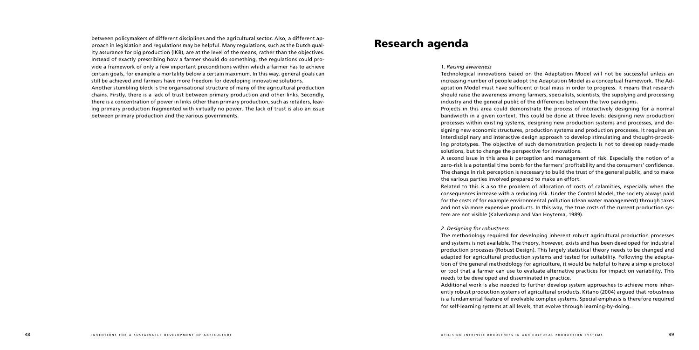between policymakers of different disciplines and the agricultural sector. Also, a different approach in legislation and regulations may be helpful. Many regulations, such as the Dutch quality assurance for pig production (IKB), are at the level of the means, rather than the objectives. Instead of exactly prescribing how a farmer should do something, the regulations could provide a framework of only a few important preconditions within which a farmer has to achieve certain goals, for example a mortality below a certain maximum. In this way, general goals can still be achieved and farmers have more freedom for developing innovative solutions. Another stumbling block is the organisational structure of many of the agricultural production chains. Firstly, there is a lack of trust between primary production and other links. Secondly, there is a concentration of power in links other than primary production, such as retailers, leav-

ing primary production fragmented with virtually no power. The lack of trust is also an issue

between primary production and the various governments.

Research agenda

*1. Raising awareness* 

Technological innovations based on the Adaptation Model will not be successful unless an increasing number of people adopt the Adaptation Model as a conceptual framework. The Adaptation Model must have sufficient critical mass in order to progress. It means that research should raise the awareness among farmers, specialists, scientists, the supplying and processing industry and the general public of the differences between the two paradigms.

Projects in this area could demonstrate the process of interactively designing for a normal bandwidth in a given context. This could be done at three levels: designing new production processes within existing systems, designing new production systems and processes, and designing new economic structures, production systems and production processes. It requires an interdisciplinary and interactive design approach to develop stimulating and thought-provoking prototypes. The objective of such demonstration projects is not to develop ready-made

A second issue in this area is perception and management of risk. Especially the notion of a zero-risk is a potential time bomb for the farmers' profitability and the consumers' confidence. The change in risk perception is necessary to build the trust of the general public, and to make

solutions, but to change the perspective for innovations. the various parties involved prepared to make an effort. tem are not visible (Kalverkamp and Van Hoytema, 1989).

Related to this is also the problem of allocation of costs of calamities, especially when the consequences increase with a reducing risk. Under the Control Model, the society always paid for the costs of for example environmental pollution (clean water management) through taxes and not via more expensive products. In this way, the true costs of the current production sys-

# *2. Designing for robustness*

The methodology required for developing inherent robust agricultural production processes and systems is not available. The theory, however, exists and has been developed for industrial production processes (Robust Design). This largely statistical theory needs to be changed and adapted for agricultural production systems and tested for suitability. Following the adaptation of the general methodology for agriculture, it would be helpful to have a simple protocol or tool that a farmer can use to evaluate alternative practices for impact on variability. This needs to be developed and disseminated in practice. Additional work is also needed to further develop system approaches to achieve more inherently robust production systems of agricultural products. Kitano (2004) argued that robustness is a fundamental feature of evolvable complex systems. Special emphasis is therefore required for self-learning systems at all levels, that evolve through learning-by-doing.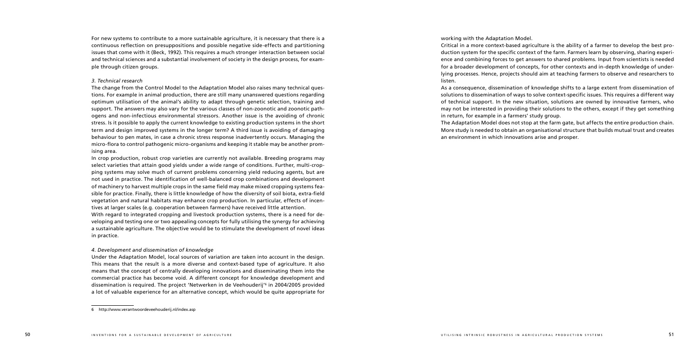For new systems to contribute to a more sustainable agriculture, it is necessary that there is a continuous reflection on presuppositions and possible negative side-effects and partitioning issues that come with it (Beck, 1992). This requires a much stronger interaction between social and technical sciences and a substantial involvement of society in the design process, for example through citizen groups.

# *3. Technical research*

The change from the Control Model to the Adaptation Model also raises many technical questions. For example in animal production, there are still many unanswered questions regarding optimum utilisation of the animal's ability to adapt through genetic selection, training and support. The answers may also vary for the various classes of non-zoonotic and zoonotic pathogens and non-infectious environmental stressors. Another issue is the avoiding of chronic stress. Is it possible to apply the current knowledge to existing production systems in the short term and design improved systems in the longer term? A third issue is avoiding of damaging behaviour to pen mates, in case a chronic stress response inadvertently occurs. Managing the micro-flora to control pathogenic micro-organisms and keeping it stable may be another promising area.

In crop production, robust crop varieties are currently not available. Breeding programs may select varieties that attain good yields under a wide range of conditions. Further, multi-cropping systems may solve much of current problems concerning yield reducing agents, but are not used in practice. The identification of well-balanced crop combinations and development of machinery to harvest multiple crops in the same field may make mixed cropping systems feasible for practice. Finally, there is little knowledge of how the diversity of soil biota, extra-field vegetation and natural habitats may enhance crop production. In particular, effects of incentives at larger scales (e.g. cooperation between farmers) have received little attention. With regard to integrated cropping and livestock production systems, there is a need for developing and testing one or two appealing concepts for fully utilising the synergy for achieving a sustainable agriculture. The objective would be to stimulate the development of novel ideas

in practice.

# *4. Development and dissemination of knowledge*

Under the Adaptation Model, local sources of variation are taken into account in the design. This means that the result is a more diverse and context-based type of agriculture. It also means that the concept of centrally developing innovations and disseminating them into the commercial practice has become void. A different concept for knowledge development and dissemination is required. The project 'Netwerken in de Veehouderij' in 2004/2005 provided a lot of valuable experience for an alternative concept, which would be quite appropriate for

working with the Adaptation Model. Critical in a more context-based agriculture is the ability of a farmer to develop the best production system for the specific context of the farm. Farmers learn by observing, sharing experience and combining forces to get answers to shared problems. Input from scientists is needed for a broader development of concepts, for other contexts and in-depth knowledge of underlying processes. Hence, projects should aim at teaching farmers to observe and researchers to listen.

As a consequence, dissemination of knowledge shifts to a large extent from dissemination of solutions to dissemination of ways to solve context-specific issues. This requires a different way of technical support. In the new situation, solutions are owned by innovative farmers, who may not be interested in providing their solutions to the others, except if they get something in return, for example in a farmers' study group. The Adaptation Model does not stop at the farm gate, but affects the entire production chain. More study is needed to obtain an organisational structure that builds mutual trust and creates an environment in which innovations arise and prosper.

http://www.verantwoordeveehouderij.nl/index.asp